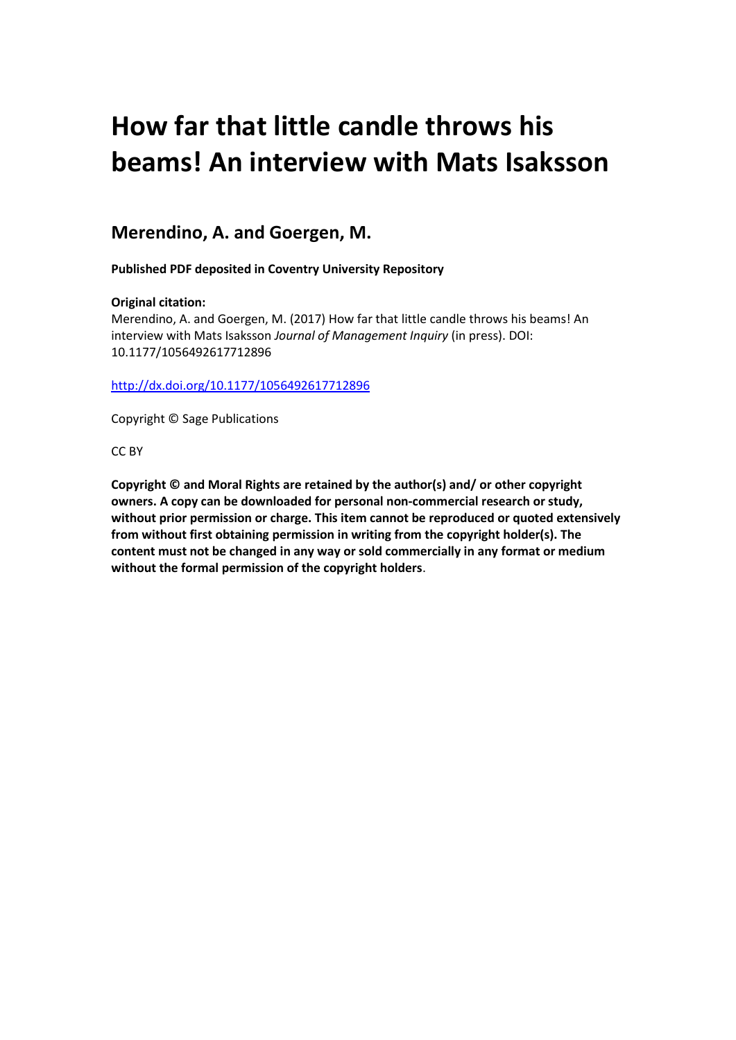# **How far that little candle throws his beams! An interview with Mats Isaksson**

## **Merendino, A. and Goergen, M.**

**Published PDF deposited in Coventry University Repository**

## **Original citation:**

Merendino, A. and Goergen, M. (2017) How far that little candle throws his beams! An interview with Mats Isaksson *Journal of Management Inquiry* (in press). DOI: 10.1177/1056492617712896

## <http://dx.doi.org/10.1177/1056492617712896>

Copyright © Sage Publications

CC BY

**Copyright © and Moral Rights are retained by the author(s) and/ or other copyright owners. A copy can be downloaded for personal non-commercial research or study, without prior permission or charge. This item cannot be reproduced or quoted extensively from without first obtaining permission in writing from the copyright holder(s). The content must not be changed in any way or sold commercially in any format or medium without the formal permission of the copyright holders**.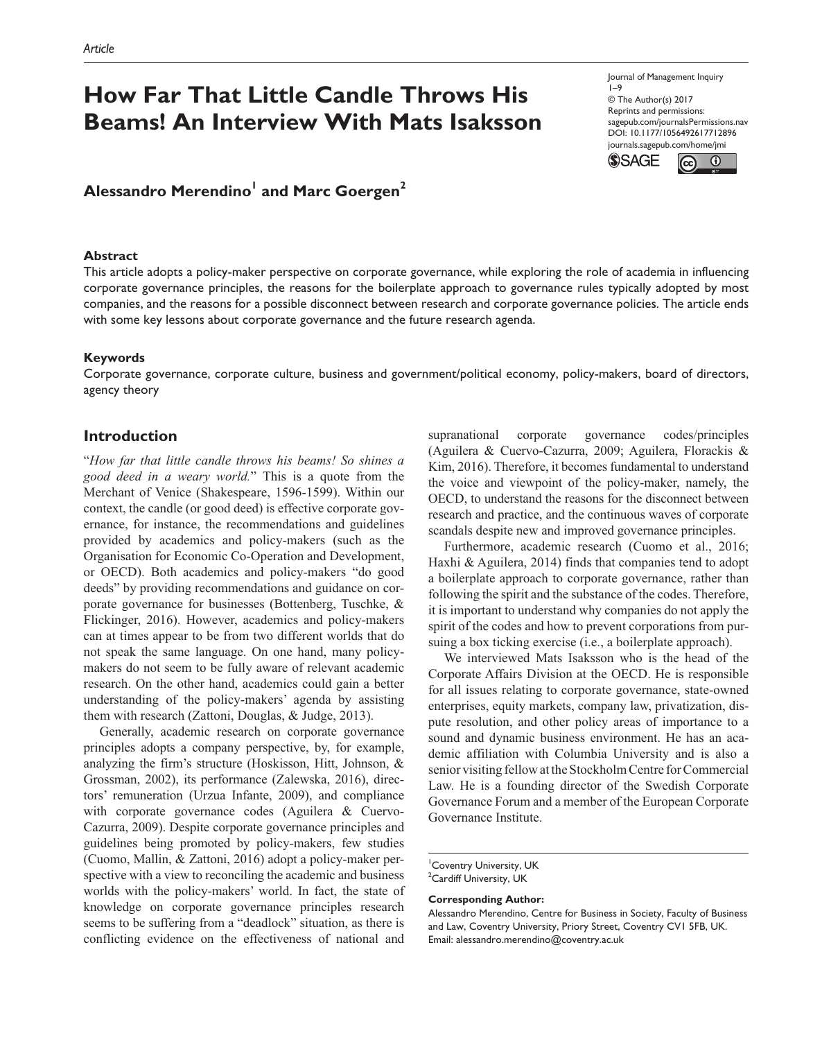## **How Far That Little Candle Throws His Beams! An Interview With Mats Isaksson**

## $\bm{\mathsf{A}}$ lessandro  $\bm{\mathsf{M}}$ erendino $^{\mathsf{I}}$  and  $\bm{\mathsf{M}}$ arc Goergen $^{\mathsf{2}}$

### **Abstract**

https://doi.org/10.1177/1056492617712896 DOI: 10.1177/1056492617712896 Journal of Management Inquiry 1–9 © The Author(s) 2017 Reprints and permissions: [sagepub.com/journalsPermissions.nav](https://us.sagepub.com/en-us/journals-permissions) [journals.sagepub.com/home/jmi](https://journals.sagepub.com/home/jmi)



This article adopts a policy-maker perspective on corporate governance, while exploring the role of academia in influencing corporate governance principles, the reasons for the boilerplate approach to governance rules typically adopted by most companies, and the reasons for a possible disconnect between research and corporate governance policies. The article ends with some key lessons about corporate governance and the future research agenda.

## **Keywords**

Corporate governance, corporate culture, business and government/political economy, policy-makers, board of directors, agency theory

## **Introduction**

"*How far that little candle throws his beams! So shines a good deed in a weary world.*" This is a quote from the Merchant of Venice (Shakespeare, 1596-1599). Within our context, the candle (or good deed) is effective corporate governance, for instance, the recommendations and guidelines provided by academics and policy-makers (such as the Organisation for Economic Co-Operation and Development, or OECD). Both academics and policy-makers "do good deeds" by providing recommendations and guidance on corporate governance for businesses (Bottenberg, Tuschke, & Flickinger, 2016). However, academics and policy-makers can at times appear to be from two different worlds that do not speak the same language. On one hand, many policymakers do not seem to be fully aware of relevant academic research. On the other hand, academics could gain a better understanding of the policy-makers' agenda by assisting them with research (Zattoni, Douglas, & Judge, 2013).

Generally, academic research on corporate governance principles adopts a company perspective, by, for example, analyzing the firm's structure (Hoskisson, Hitt, Johnson, & Grossman, 2002), its performance (Zalewska, 2016), directors' remuneration (Urzua Infante, 2009), and compliance with corporate governance codes (Aguilera & Cuervo-Cazurra, 2009). Despite corporate governance principles and guidelines being promoted by policy-makers, few studies (Cuomo, Mallin, & Zattoni, 2016) adopt a policy-maker perspective with a view to reconciling the academic and business worlds with the policy-makers' world. In fact, the state of knowledge on corporate governance principles research seems to be suffering from a "deadlock" situation, as there is conflicting evidence on the effectiveness of national and supranational corporate governance codes/principles (Aguilera & Cuervo-Cazurra, 2009; Aguilera, Florackis & Kim, 2016). Therefore, it becomes fundamental to understand the voice and viewpoint of the policy-maker, namely, the OECD, to understand the reasons for the disconnect between research and practice, and the continuous waves of corporate scandals despite new and improved governance principles.

Furthermore, academic research (Cuomo et al., 2016; Haxhi & Aguilera, 2014) finds that companies tend to adopt a boilerplate approach to corporate governance, rather than following the spirit and the substance of the codes. Therefore, it is important to understand why companies do not apply the spirit of the codes and how to prevent corporations from pursuing a box ticking exercise (i.e., a boilerplate approach).

We interviewed Mats Isaksson who is the head of the Corporate Affairs Division at the OECD. He is responsible for all issues relating to corporate governance, state-owned enterprises, equity markets, company law, privatization, dispute resolution, and other policy areas of importance to a sound and dynamic business environment. He has an academic affiliation with Columbia University and is also a senior visiting fellow at the Stockholm Centre for Commercial Law. He is a founding director of the Swedish Corporate Governance Forum and a member of the European Corporate Governance Institute.

#### **Corresponding Author:**

<sup>&</sup>lt;sup>1</sup> Coventry University, UK <sup>2</sup>Cardiff University, UK

Alessandro Merendino, Centre for Business in Society, Faculty of Business and Law, Coventry University, Priory Street, Coventry CV1 5FB, UK. Email: [alessandro.merendino@coventry.ac.uk](mailto:alessandro.merendino@coventry.ac.uk)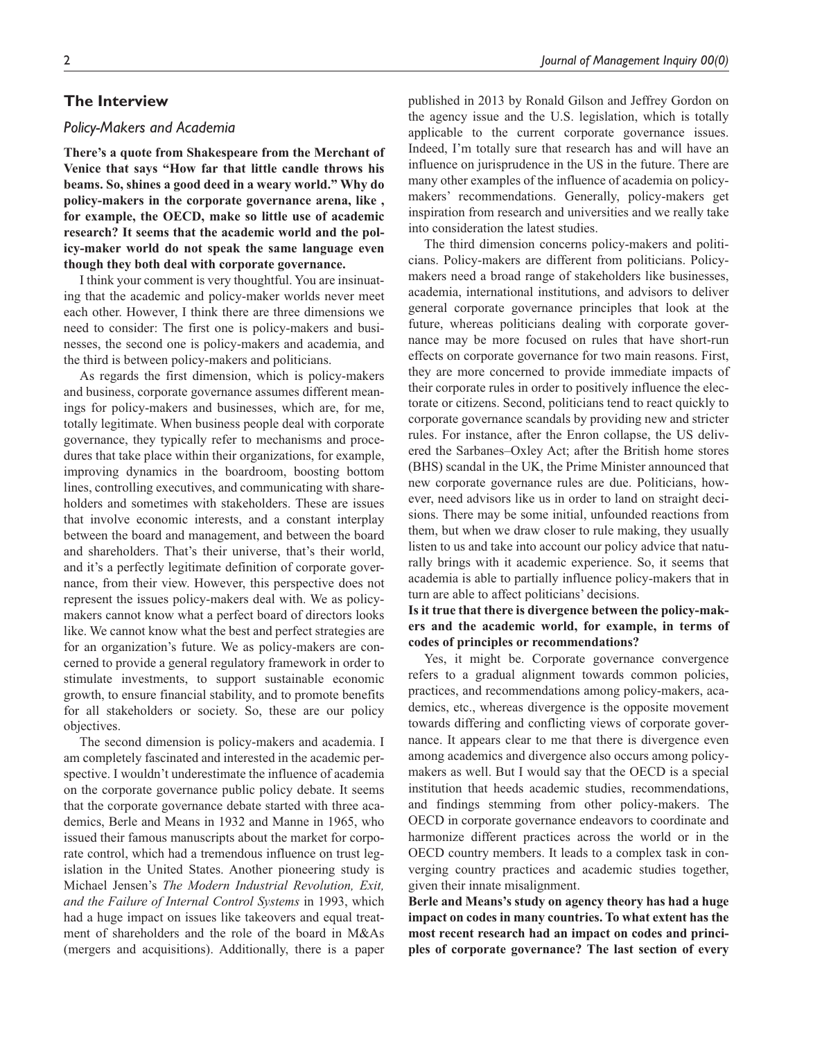## **The Interview**

## *Policy-Makers and Academia*

**There's a quote from Shakespeare from the Merchant of Venice that says "How far that little candle throws his beams. So, shines a good deed in a weary world." Why do policy-makers in the corporate governance arena, like , for example, the OECD, make so little use of academic research? It seems that the academic world and the policy-maker world do not speak the same language even though they both deal with corporate governance.**

I think your comment is very thoughtful. You are insinuating that the academic and policy-maker worlds never meet each other. However, I think there are three dimensions we need to consider: The first one is policy-makers and businesses, the second one is policy-makers and academia, and the third is between policy-makers and politicians.

As regards the first dimension, which is policy-makers and business, corporate governance assumes different meanings for policy-makers and businesses, which are, for me, totally legitimate. When business people deal with corporate governance, they typically refer to mechanisms and procedures that take place within their organizations, for example, improving dynamics in the boardroom, boosting bottom lines, controlling executives, and communicating with shareholders and sometimes with stakeholders. These are issues that involve economic interests, and a constant interplay between the board and management, and between the board and shareholders. That's their universe, that's their world, and it's a perfectly legitimate definition of corporate governance, from their view. However, this perspective does not represent the issues policy-makers deal with. We as policymakers cannot know what a perfect board of directors looks like. We cannot know what the best and perfect strategies are for an organization's future. We as policy-makers are concerned to provide a general regulatory framework in order to stimulate investments, to support sustainable economic growth, to ensure financial stability, and to promote benefits for all stakeholders or society. So, these are our policy objectives.

The second dimension is policy-makers and academia. I am completely fascinated and interested in the academic perspective. I wouldn't underestimate the influence of academia on the corporate governance public policy debate. It seems that the corporate governance debate started with three academics, Berle and Means in 1932 and Manne in 1965, who issued their famous manuscripts about the market for corporate control, which had a tremendous influence on trust legislation in the United States. Another pioneering study is Michael Jensen's *The Modern Industrial Revolution, Exit, and the Failure of Internal Control Systems* in 1993, which had a huge impact on issues like takeovers and equal treatment of shareholders and the role of the board in M&As (mergers and acquisitions). Additionally, there is a paper published in 2013 by Ronald Gilson and Jeffrey Gordon on the agency issue and the U.S. legislation, which is totally applicable to the current corporate governance issues. Indeed, I'm totally sure that research has and will have an influence on jurisprudence in the US in the future. There are many other examples of the influence of academia on policymakers' recommendations. Generally, policy-makers get inspiration from research and universities and we really take into consideration the latest studies.

The third dimension concerns policy-makers and politicians. Policy-makers are different from politicians. Policymakers need a broad range of stakeholders like businesses, academia, international institutions, and advisors to deliver general corporate governance principles that look at the future, whereas politicians dealing with corporate governance may be more focused on rules that have short-run effects on corporate governance for two main reasons. First, they are more concerned to provide immediate impacts of their corporate rules in order to positively influence the electorate or citizens. Second, politicians tend to react quickly to corporate governance scandals by providing new and stricter rules. For instance, after the Enron collapse, the US delivered the Sarbanes–Oxley Act; after the British home stores (BHS) scandal in the UK, the Prime Minister announced that new corporate governance rules are due. Politicians, however, need advisors like us in order to land on straight decisions. There may be some initial, unfounded reactions from them, but when we draw closer to rule making, they usually listen to us and take into account our policy advice that naturally brings with it academic experience. So, it seems that academia is able to partially influence policy-makers that in turn are able to affect politicians' decisions.

## **Is it true that there is divergence between the policy-makers and the academic world, for example, in terms of codes of principles or recommendations?**

Yes, it might be. Corporate governance convergence refers to a gradual alignment towards common policies, practices, and recommendations among policy-makers, academics, etc., whereas divergence is the opposite movement towards differing and conflicting views of corporate governance. It appears clear to me that there is divergence even among academics and divergence also occurs among policymakers as well. But I would say that the OECD is a special institution that heeds academic studies, recommendations, and findings stemming from other policy-makers. The OECD in corporate governance endeavors to coordinate and harmonize different practices across the world or in the OECD country members. It leads to a complex task in converging country practices and academic studies together, given their innate misalignment.

**Berle and Means's study on agency theory has had a huge impact on codes in many countries. To what extent has the most recent research had an impact on codes and principles of corporate governance? The last section of every**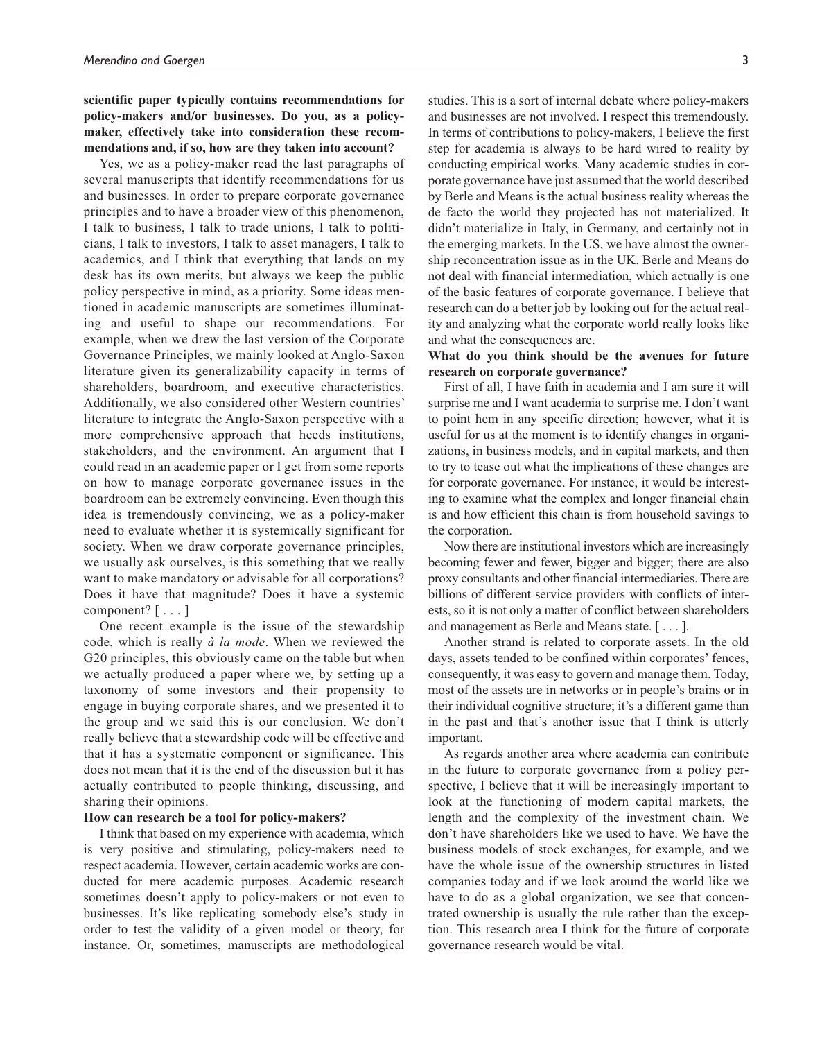**scientific paper typically contains recommendations for policy-makers and/or businesses. Do you, as a policymaker, effectively take into consideration these recommendations and, if so, how are they taken into account?**

Yes, we as a policy-maker read the last paragraphs of several manuscripts that identify recommendations for us and businesses. In order to prepare corporate governance principles and to have a broader view of this phenomenon, I talk to business, I talk to trade unions, I talk to politicians, I talk to investors, I talk to asset managers, I talk to academics, and I think that everything that lands on my desk has its own merits, but always we keep the public policy perspective in mind, as a priority. Some ideas mentioned in academic manuscripts are sometimes illuminating and useful to shape our recommendations. For example, when we drew the last version of the Corporate Governance Principles, we mainly looked at Anglo-Saxon literature given its generalizability capacity in terms of shareholders, boardroom, and executive characteristics. Additionally, we also considered other Western countries' literature to integrate the Anglo-Saxon perspective with a more comprehensive approach that heeds institutions, stakeholders, and the environment. An argument that I could read in an academic paper or I get from some reports on how to manage corporate governance issues in the boardroom can be extremely convincing. Even though this idea is tremendously convincing, we as a policy-maker need to evaluate whether it is systemically significant for society. When we draw corporate governance principles, we usually ask ourselves, is this something that we really want to make mandatory or advisable for all corporations? Does it have that magnitude? Does it have a systemic component? [ . . . ]

One recent example is the issue of the stewardship code, which is really *à la mode*. When we reviewed the G20 principles, this obviously came on the table but when we actually produced a paper where we, by setting up a taxonomy of some investors and their propensity to engage in buying corporate shares, and we presented it to the group and we said this is our conclusion. We don't really believe that a stewardship code will be effective and that it has a systematic component or significance. This does not mean that it is the end of the discussion but it has actually contributed to people thinking, discussing, and sharing their opinions.

#### **How can research be a tool for policy-makers?**

I think that based on my experience with academia, which is very positive and stimulating, policy-makers need to respect academia. However, certain academic works are conducted for mere academic purposes. Academic research sometimes doesn't apply to policy-makers or not even to businesses. It's like replicating somebody else's study in order to test the validity of a given model or theory, for instance. Or, sometimes, manuscripts are methodological

studies. This is a sort of internal debate where policy-makers and businesses are not involved. I respect this tremendously. In terms of contributions to policy-makers, I believe the first step for academia is always to be hard wired to reality by conducting empirical works. Many academic studies in corporate governance have just assumed that the world described by Berle and Means is the actual business reality whereas the de facto the world they projected has not materialized. It didn't materialize in Italy, in Germany, and certainly not in the emerging markets. In the US, we have almost the ownership reconcentration issue as in the UK. Berle and Means do not deal with financial intermediation, which actually is one of the basic features of corporate governance. I believe that research can do a better job by looking out for the actual reality and analyzing what the corporate world really looks like and what the consequences are.

## **What do you think should be the avenues for future research on corporate governance?**

First of all, I have faith in academia and I am sure it will surprise me and I want academia to surprise me. I don't want to point hem in any specific direction; however, what it is useful for us at the moment is to identify changes in organizations, in business models, and in capital markets, and then to try to tease out what the implications of these changes are for corporate governance. For instance, it would be interesting to examine what the complex and longer financial chain is and how efficient this chain is from household savings to the corporation.

Now there are institutional investors which are increasingly becoming fewer and fewer, bigger and bigger; there are also proxy consultants and other financial intermediaries. There are billions of different service providers with conflicts of interests, so it is not only a matter of conflict between shareholders and management as Berle and Means state. [ . . . ].

Another strand is related to corporate assets. In the old days, assets tended to be confined within corporates' fences, consequently, it was easy to govern and manage them. Today, most of the assets are in networks or in people's brains or in their individual cognitive structure; it's a different game than in the past and that's another issue that I think is utterly important.

As regards another area where academia can contribute in the future to corporate governance from a policy perspective, I believe that it will be increasingly important to look at the functioning of modern capital markets, the length and the complexity of the investment chain. We don't have shareholders like we used to have. We have the business models of stock exchanges, for example, and we have the whole issue of the ownership structures in listed companies today and if we look around the world like we have to do as a global organization, we see that concentrated ownership is usually the rule rather than the exception. This research area I think for the future of corporate governance research would be vital.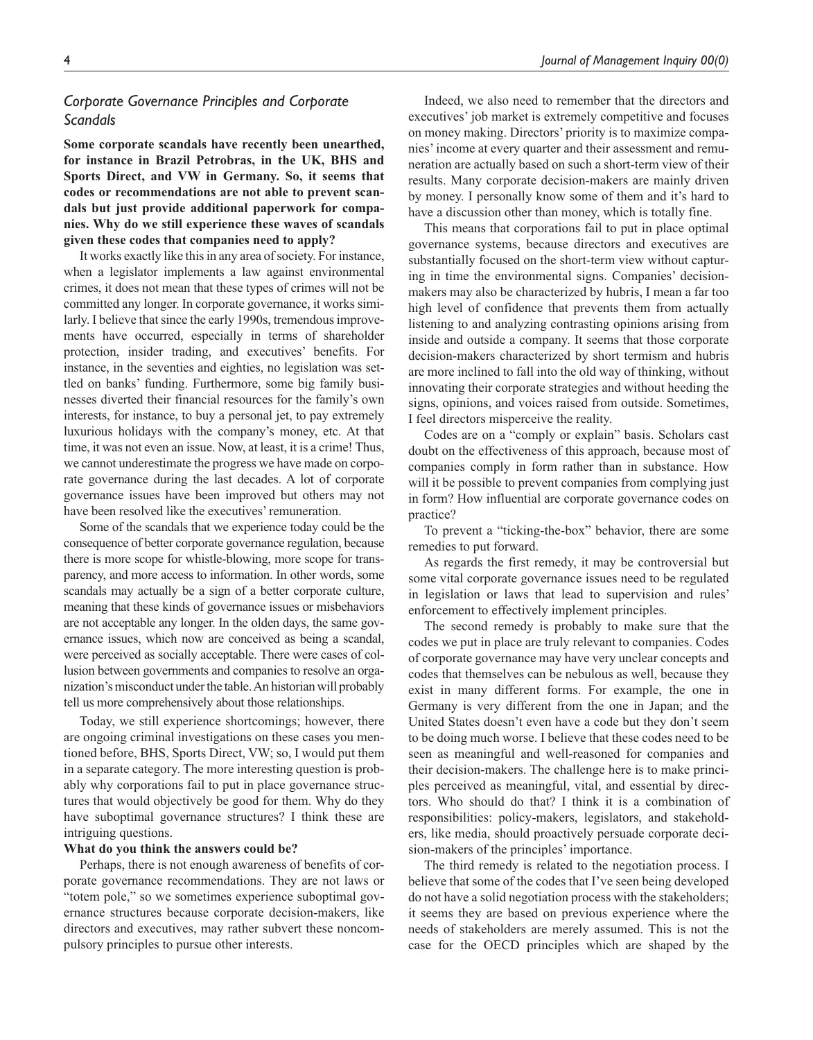## *Corporate Governance Principles and Corporate Scandals*

**Some corporate scandals have recently been unearthed, for instance in Brazil Petrobras, in the UK, BHS and Sports Direct, and VW in Germany. So, it seems that codes or recommendations are not able to prevent scandals but just provide additional paperwork for companies. Why do we still experience these waves of scandals given these codes that companies need to apply?**

It works exactly like this in any area of society. For instance, when a legislator implements a law against environmental crimes, it does not mean that these types of crimes will not be committed any longer. In corporate governance, it works similarly. I believe that since the early 1990s, tremendous improvements have occurred, especially in terms of shareholder protection, insider trading, and executives' benefits. For instance, in the seventies and eighties, no legislation was settled on banks' funding. Furthermore, some big family businesses diverted their financial resources for the family's own interests, for instance, to buy a personal jet, to pay extremely luxurious holidays with the company's money, etc. At that time, it was not even an issue. Now, at least, it is a crime! Thus, we cannot underestimate the progress we have made on corporate governance during the last decades. A lot of corporate governance issues have been improved but others may not have been resolved like the executives' remuneration.

Some of the scandals that we experience today could be the consequence of better corporate governance regulation, because there is more scope for whistle-blowing, more scope for transparency, and more access to information. In other words, some scandals may actually be a sign of a better corporate culture, meaning that these kinds of governance issues or misbehaviors are not acceptable any longer. In the olden days, the same governance issues, which now are conceived as being a scandal, were perceived as socially acceptable. There were cases of collusion between governments and companies to resolve an organization's misconduct under the table. An historian will probably tell us more comprehensively about those relationships.

Today, we still experience shortcomings; however, there are ongoing criminal investigations on these cases you mentioned before, BHS, Sports Direct, VW; so, I would put them in a separate category. The more interesting question is probably why corporations fail to put in place governance structures that would objectively be good for them. Why do they have suboptimal governance structures? I think these are intriguing questions.

### **What do you think the answers could be?**

Perhaps, there is not enough awareness of benefits of corporate governance recommendations. They are not laws or "totem pole," so we sometimes experience suboptimal governance structures because corporate decision-makers, like directors and executives, may rather subvert these noncompulsory principles to pursue other interests.

Indeed, we also need to remember that the directors and

executives' job market is extremely competitive and focuses on money making. Directors' priority is to maximize companies' income at every quarter and their assessment and remuneration are actually based on such a short-term view of their results. Many corporate decision-makers are mainly driven by money. I personally know some of them and it's hard to have a discussion other than money, which is totally fine.

This means that corporations fail to put in place optimal governance systems, because directors and executives are substantially focused on the short-term view without capturing in time the environmental signs. Companies' decisionmakers may also be characterized by hubris, I mean a far too high level of confidence that prevents them from actually listening to and analyzing contrasting opinions arising from inside and outside a company. It seems that those corporate decision-makers characterized by short termism and hubris are more inclined to fall into the old way of thinking, without innovating their corporate strategies and without heeding the signs, opinions, and voices raised from outside. Sometimes, I feel directors misperceive the reality.

Codes are on a "comply or explain" basis. Scholars cast doubt on the effectiveness of this approach, because most of companies comply in form rather than in substance. How will it be possible to prevent companies from complying just in form? How influential are corporate governance codes on practice?

To prevent a "ticking-the-box" behavior, there are some remedies to put forward.

As regards the first remedy, it may be controversial but some vital corporate governance issues need to be regulated in legislation or laws that lead to supervision and rules' enforcement to effectively implement principles.

The second remedy is probably to make sure that the codes we put in place are truly relevant to companies. Codes of corporate governance may have very unclear concepts and codes that themselves can be nebulous as well, because they exist in many different forms. For example, the one in Germany is very different from the one in Japan; and the United States doesn't even have a code but they don't seem to be doing much worse. I believe that these codes need to be seen as meaningful and well-reasoned for companies and their decision-makers. The challenge here is to make principles perceived as meaningful, vital, and essential by directors. Who should do that? I think it is a combination of responsibilities: policy-makers, legislators, and stakeholders, like media, should proactively persuade corporate decision-makers of the principles' importance.

The third remedy is related to the negotiation process. I believe that some of the codes that I've seen being developed do not have a solid negotiation process with the stakeholders; it seems they are based on previous experience where the needs of stakeholders are merely assumed. This is not the case for the OECD principles which are shaped by the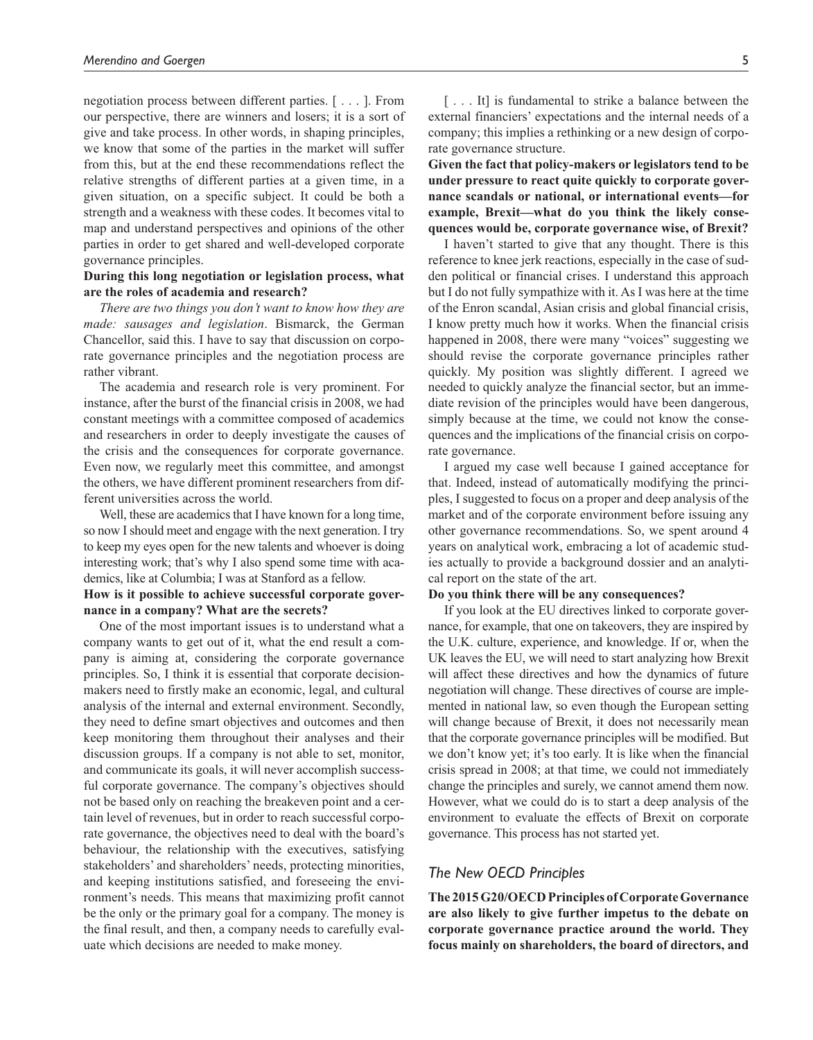negotiation process between different parties. [ . . . ]. From our perspective, there are winners and losers; it is a sort of give and take process. In other words, in shaping principles, we know that some of the parties in the market will suffer from this, but at the end these recommendations reflect the relative strengths of different parties at a given time, in a given situation, on a specific subject. It could be both a strength and a weakness with these codes. It becomes vital to map and understand perspectives and opinions of the other parties in order to get shared and well-developed corporate governance principles.

## **During this long negotiation or legislation process, what are the roles of academia and research?**

*There are two things you don't want to know how they are made: sausages and legislation*. Bismarck, the German Chancellor, said this. I have to say that discussion on corporate governance principles and the negotiation process are rather vibrant.

The academia and research role is very prominent. For instance, after the burst of the financial crisis in 2008, we had constant meetings with a committee composed of academics and researchers in order to deeply investigate the causes of the crisis and the consequences for corporate governance. Even now, we regularly meet this committee, and amongst the others, we have different prominent researchers from different universities across the world.

Well, these are academics that I have known for a long time, so now I should meet and engage with the next generation. I try to keep my eyes open for the new talents and whoever is doing interesting work; that's why I also spend some time with academics, like at Columbia; I was at Stanford as a fellow.

## **How is it possible to achieve successful corporate governance in a company? What are the secrets?**

One of the most important issues is to understand what a company wants to get out of it, what the end result a company is aiming at, considering the corporate governance principles. So, I think it is essential that corporate decisionmakers need to firstly make an economic, legal, and cultural analysis of the internal and external environment. Secondly, they need to define smart objectives and outcomes and then keep monitoring them throughout their analyses and their discussion groups. If a company is not able to set, monitor, and communicate its goals, it will never accomplish successful corporate governance. The company's objectives should not be based only on reaching the breakeven point and a certain level of revenues, but in order to reach successful corporate governance, the objectives need to deal with the board's behaviour, the relationship with the executives, satisfying stakeholders' and shareholders' needs, protecting minorities, and keeping institutions satisfied, and foreseeing the environment's needs. This means that maximizing profit cannot be the only or the primary goal for a company. The money is the final result, and then, a company needs to carefully evaluate which decisions are needed to make money.

[ . . . It] is fundamental to strike a balance between the external financiers' expectations and the internal needs of a company; this implies a rethinking or a new design of corporate governance structure.

**Given the fact that policy-makers or legislators tend to be under pressure to react quite quickly to corporate governance scandals or national, or international events—for example, Brexit—what do you think the likely consequences would be, corporate governance wise, of Brexit?**

I haven't started to give that any thought. There is this reference to knee jerk reactions, especially in the case of sudden political or financial crises. I understand this approach but I do not fully sympathize with it. As I was here at the time of the Enron scandal, Asian crisis and global financial crisis, I know pretty much how it works. When the financial crisis happened in 2008, there were many "voices" suggesting we should revise the corporate governance principles rather quickly. My position was slightly different. I agreed we needed to quickly analyze the financial sector, but an immediate revision of the principles would have been dangerous, simply because at the time, we could not know the consequences and the implications of the financial crisis on corporate governance.

I argued my case well because I gained acceptance for that. Indeed, instead of automatically modifying the principles, I suggested to focus on a proper and deep analysis of the market and of the corporate environment before issuing any other governance recommendations. So, we spent around 4 years on analytical work, embracing a lot of academic studies actually to provide a background dossier and an analytical report on the state of the art.

### **Do you think there will be any consequences?**

If you look at the EU directives linked to corporate governance, for example, that one on takeovers, they are inspired by the U.K. culture, experience, and knowledge. If or, when the UK leaves the EU, we will need to start analyzing how Brexit will affect these directives and how the dynamics of future negotiation will change. These directives of course are implemented in national law, so even though the European setting will change because of Brexit, it does not necessarily mean that the corporate governance principles will be modified. But we don't know yet; it's too early. It is like when the financial crisis spread in 2008; at that time, we could not immediately change the principles and surely, we cannot amend them now. However, what we could do is to start a deep analysis of the environment to evaluate the effects of Brexit on corporate governance. This process has not started yet.

## *The New OECD Principles*

**The 2015 G20/OECD Principles of Corporate Governance are also likely to give further impetus to the debate on corporate governance practice around the world. They focus mainly on shareholders, the board of directors, and**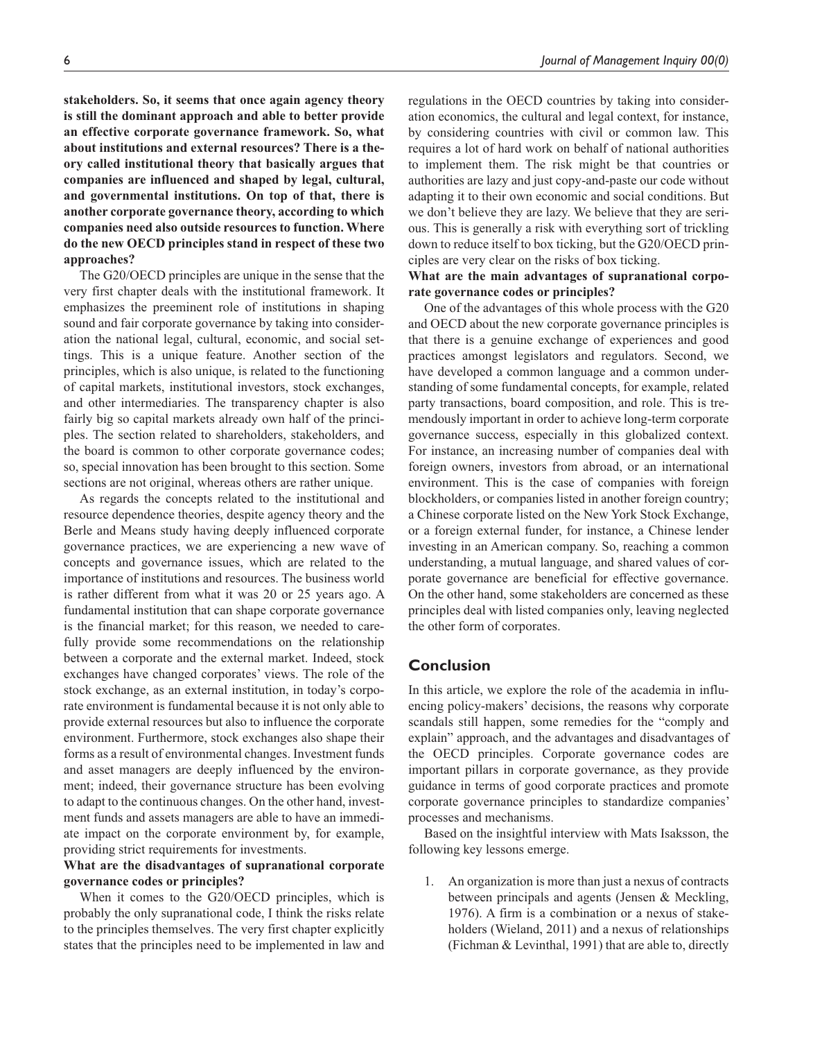**stakeholders. So, it seems that once again agency theory is still the dominant approach and able to better provide an effective corporate governance framework. So, what about institutions and external resources? There is a theory called institutional theory that basically argues that companies are influenced and shaped by legal, cultural, and governmental institutions. On top of that, there is another corporate governance theory, according to which companies need also outside resources to function. Where do the new OECD principles stand in respect of these two approaches?**

The G20/OECD principles are unique in the sense that the very first chapter deals with the institutional framework. It emphasizes the preeminent role of institutions in shaping sound and fair corporate governance by taking into consideration the national legal, cultural, economic, and social settings. This is a unique feature. Another section of the principles, which is also unique, is related to the functioning of capital markets, institutional investors, stock exchanges, and other intermediaries. The transparency chapter is also fairly big so capital markets already own half of the principles. The section related to shareholders, stakeholders, and the board is common to other corporate governance codes; so, special innovation has been brought to this section. Some sections are not original, whereas others are rather unique.

As regards the concepts related to the institutional and resource dependence theories, despite agency theory and the Berle and Means study having deeply influenced corporate governance practices, we are experiencing a new wave of concepts and governance issues, which are related to the importance of institutions and resources. The business world is rather different from what it was 20 or 25 years ago. A fundamental institution that can shape corporate governance is the financial market; for this reason, we needed to carefully provide some recommendations on the relationship between a corporate and the external market. Indeed, stock exchanges have changed corporates' views. The role of the stock exchange, as an external institution, in today's corporate environment is fundamental because it is not only able to provide external resources but also to influence the corporate environment. Furthermore, stock exchanges also shape their forms as a result of environmental changes. Investment funds and asset managers are deeply influenced by the environment; indeed, their governance structure has been evolving to adapt to the continuous changes. On the other hand, investment funds and assets managers are able to have an immediate impact on the corporate environment by, for example, providing strict requirements for investments.

## **What are the disadvantages of supranational corporate governance codes or principles?**

When it comes to the G20/OECD principles, which is probably the only supranational code, I think the risks relate to the principles themselves. The very first chapter explicitly states that the principles need to be implemented in law and

regulations in the OECD countries by taking into consideration economics, the cultural and legal context, for instance, by considering countries with civil or common law. This requires a lot of hard work on behalf of national authorities to implement them. The risk might be that countries or authorities are lazy and just copy-and-paste our code without adapting it to their own economic and social conditions. But we don't believe they are lazy. We believe that they are serious. This is generally a risk with everything sort of trickling down to reduce itself to box ticking, but the G20/OECD principles are very clear on the risks of box ticking.

## **What are the main advantages of supranational corporate governance codes or principles?**

One of the advantages of this whole process with the G20 and OECD about the new corporate governance principles is that there is a genuine exchange of experiences and good practices amongst legislators and regulators. Second, we have developed a common language and a common understanding of some fundamental concepts, for example, related party transactions, board composition, and role. This is tremendously important in order to achieve long-term corporate governance success, especially in this globalized context. For instance, an increasing number of companies deal with foreign owners, investors from abroad, or an international environment. This is the case of companies with foreign blockholders, or companies listed in another foreign country; a Chinese corporate listed on the New York Stock Exchange, or a foreign external funder, for instance, a Chinese lender investing in an American company. So, reaching a common understanding, a mutual language, and shared values of corporate governance are beneficial for effective governance. On the other hand, some stakeholders are concerned as these principles deal with listed companies only, leaving neglected the other form of corporates.

## **Conclusion**

In this article, we explore the role of the academia in influencing policy-makers' decisions, the reasons why corporate scandals still happen, some remedies for the "comply and explain" approach, and the advantages and disadvantages of the OECD principles. Corporate governance codes are important pillars in corporate governance, as they provide guidance in terms of good corporate practices and promote corporate governance principles to standardize companies' processes and mechanisms.

Based on the insightful interview with Mats Isaksson, the following key lessons emerge.

1. An organization is more than just a nexus of contracts between principals and agents (Jensen & Meckling, 1976). A firm is a combination or a nexus of stakeholders (Wieland, 2011) and a nexus of relationships (Fichman & Levinthal, 1991) that are able to, directly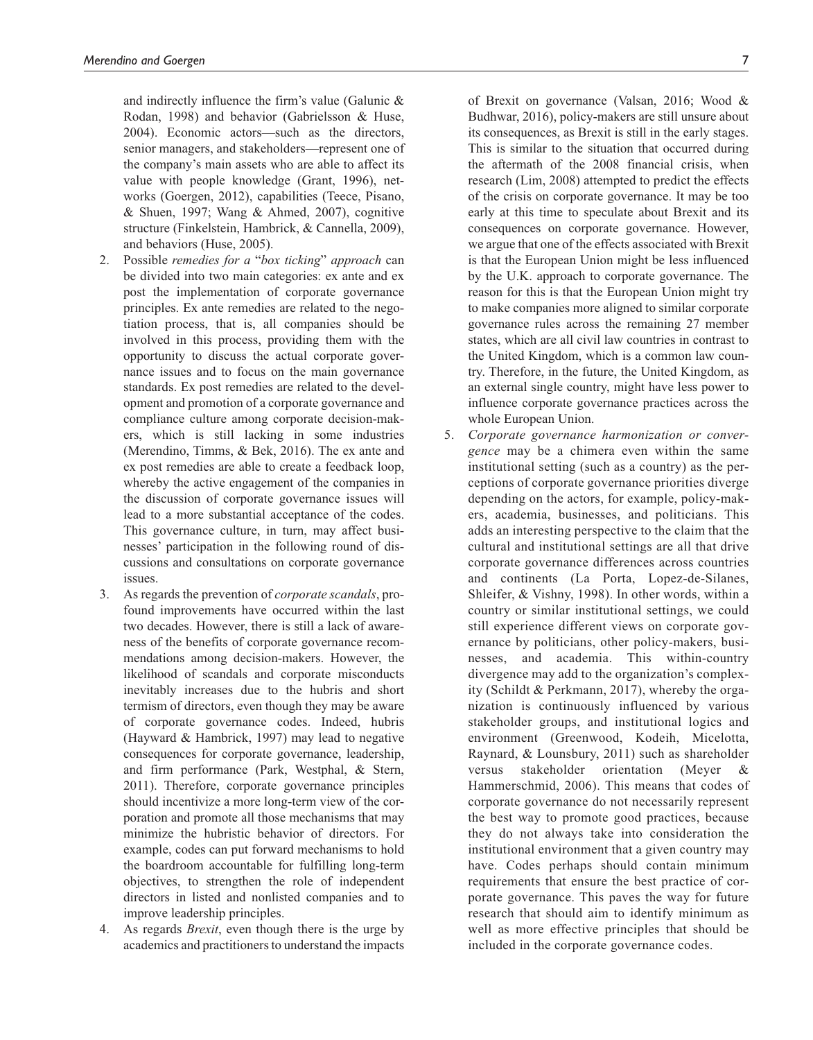and indirectly influence the firm's value (Galunic & Rodan, 1998) and behavior (Gabrielsson & Huse, 2004). Economic actors—such as the directors, senior managers, and stakeholders—represent one of the company's main assets who are able to affect its value with people knowledge (Grant, 1996), networks (Goergen, 2012), capabilities (Teece, Pisano, & Shuen, 1997; Wang & Ahmed, 2007), cognitive structure (Finkelstein, Hambrick, & Cannella, 2009), and behaviors (Huse, 2005).

- 2. Possible *remedies for a* "*box ticking*" *approach* can be divided into two main categories: ex ante and ex post the implementation of corporate governance principles. Ex ante remedies are related to the negotiation process, that is, all companies should be involved in this process, providing them with the opportunity to discuss the actual corporate governance issues and to focus on the main governance standards. Ex post remedies are related to the development and promotion of a corporate governance and compliance culture among corporate decision-makers, which is still lacking in some industries (Merendino, Timms, & Bek, 2016). The ex ante and ex post remedies are able to create a feedback loop, whereby the active engagement of the companies in the discussion of corporate governance issues will lead to a more substantial acceptance of the codes. This governance culture, in turn, may affect businesses' participation in the following round of discussions and consultations on corporate governance issues.
- 3. As regards the prevention of *corporate scandals*, profound improvements have occurred within the last two decades. However, there is still a lack of awareness of the benefits of corporate governance recommendations among decision-makers. However, the likelihood of scandals and corporate misconducts inevitably increases due to the hubris and short termism of directors, even though they may be aware of corporate governance codes. Indeed, hubris (Hayward & Hambrick, 1997) may lead to negative consequences for corporate governance, leadership, and firm performance (Park, Westphal, & Stern, 2011). Therefore, corporate governance principles should incentivize a more long-term view of the corporation and promote all those mechanisms that may minimize the hubristic behavior of directors. For example, codes can put forward mechanisms to hold the boardroom accountable for fulfilling long-term objectives, to strengthen the role of independent directors in listed and nonlisted companies and to improve leadership principles.
- 4. As regards *Brexit*, even though there is the urge by academics and practitioners to understand the impacts

of Brexit on governance (Valsan, 2016; Wood & Budhwar, 2016), policy-makers are still unsure about its consequences, as Brexit is still in the early stages. This is similar to the situation that occurred during the aftermath of the 2008 financial crisis, when research (Lim, 2008) attempted to predict the effects of the crisis on corporate governance. It may be too early at this time to speculate about Brexit and its consequences on corporate governance. However, we argue that one of the effects associated with Brexit is that the European Union might be less influenced by the U.K. approach to corporate governance. The reason for this is that the European Union might try to make companies more aligned to similar corporate governance rules across the remaining 27 member states, which are all civil law countries in contrast to the United Kingdom, which is a common law country. Therefore, in the future, the United Kingdom, as an external single country, might have less power to influence corporate governance practices across the whole European Union.

5. *Corporate governance harmonization or convergence* may be a chimera even within the same institutional setting (such as a country) as the perceptions of corporate governance priorities diverge depending on the actors, for example, policy-makers, academia, businesses, and politicians. This adds an interesting perspective to the claim that the cultural and institutional settings are all that drive corporate governance differences across countries and continents (La Porta, Lopez-de-Silanes, Shleifer, & Vishny, 1998). In other words, within a country or similar institutional settings, we could still experience different views on corporate governance by politicians, other policy-makers, businesses, and academia. This within-country divergence may add to the organization's complexity (Schildt & Perkmann, 2017), whereby the organization is continuously influenced by various stakeholder groups, and institutional logics and environment (Greenwood, Kodeih, Micelotta, Raynard, & Lounsbury, 2011) such as shareholder versus stakeholder orientation (Meyer & Hammerschmid, 2006). This means that codes of corporate governance do not necessarily represent the best way to promote good practices, because they do not always take into consideration the institutional environment that a given country may have. Codes perhaps should contain minimum requirements that ensure the best practice of corporate governance. This paves the way for future research that should aim to identify minimum as well as more effective principles that should be included in the corporate governance codes.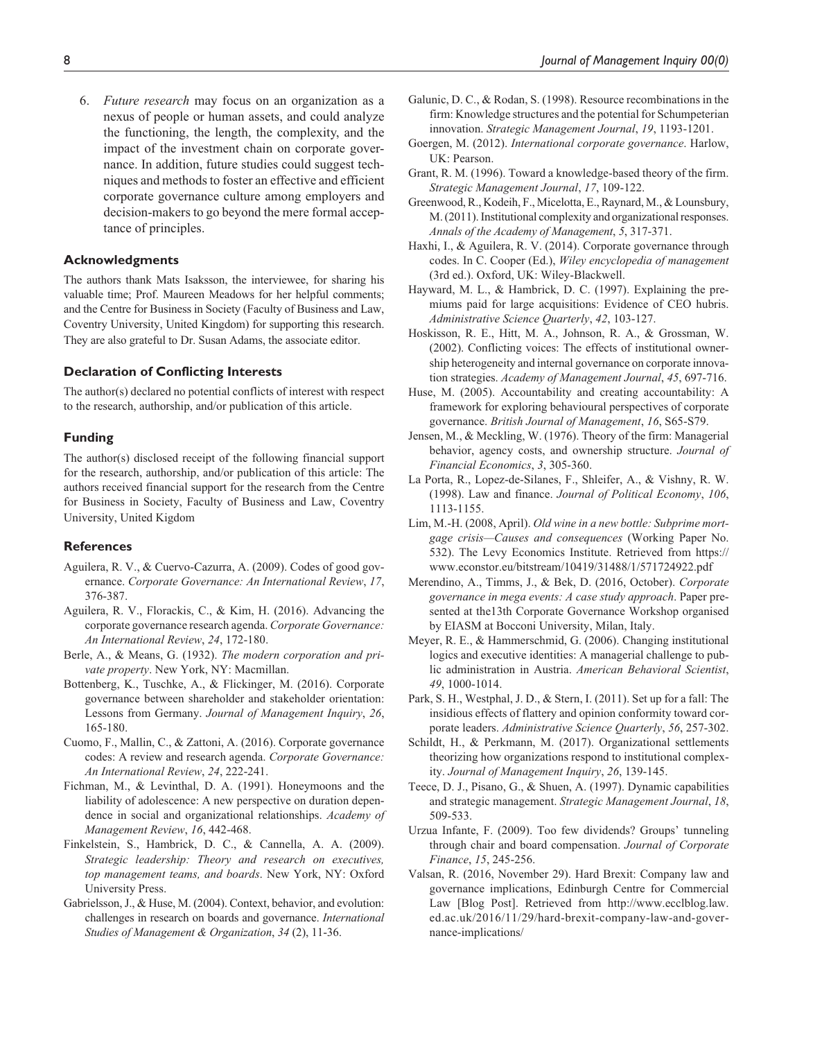6. *Future research* may focus on an organization as a nexus of people or human assets, and could analyze the functioning, the length, the complexity, and the impact of the investment chain on corporate governance. In addition, future studies could suggest techniques and methods to foster an effective and efficient corporate governance culture among employers and decision-makers to go beyond the mere formal acceptance of principles.

## **Acknowledgments**

The authors thank Mats Isaksson, the interviewee, for sharing his valuable time; Prof. Maureen Meadows for her helpful comments; and the Centre for Business in Society (Faculty of Business and Law, Coventry University, United Kingdom) for supporting this research. They are also grateful to Dr. Susan Adams, the associate editor.

#### **Declaration of Conflicting Interests**

The author(s) declared no potential conflicts of interest with respect to the research, authorship, and/or publication of this article.

## **Funding**

The author(s) disclosed receipt of the following financial support for the research, authorship, and/or publication of this article: The authors received financial support for the research from the Centre for Business in Society, Faculty of Business and Law, Coventry University, United Kigdom

#### **References**

- Aguilera, R. V., & Cuervo-Cazurra, A. (2009). Codes of good governance. *Corporate Governance: An International Review*, *17*, 376-387.
- Aguilera, R. V., Florackis, C., & Kim, H. (2016). Advancing the corporate governance research agenda. *Corporate Governance: An International Review*, *24*, 172-180.
- Berle, A., & Means, G. (1932). *The modern corporation and private property*. New York, NY: Macmillan.
- Bottenberg, K., Tuschke, A., & Flickinger, M. (2016). Corporate governance between shareholder and stakeholder orientation: Lessons from Germany. *Journal of Management Inquiry*, *26*, 165-180.
- Cuomo, F., Mallin, C., & Zattoni, A. (2016). Corporate governance codes: A review and research agenda. *Corporate Governance: An International Review*, *24*, 222-241.
- Fichman, M., & Levinthal, D. A. (1991). Honeymoons and the liability of adolescence: A new perspective on duration dependence in social and organizational relationships. *Academy of Management Review*, *16*, 442-468.
- Finkelstein, S., Hambrick, D. C., & Cannella, A. A. (2009). *Strategic leadership: Theory and research on executives, top management teams, and boards*. New York, NY: Oxford University Press.
- Gabrielsson, J., & Huse, M. (2004). Context, behavior, and evolution: challenges in research on boards and governance. *International Studies of Management & Organization*, *34* (2), 11-36.
- Galunic, D. C., & Rodan, S. (1998). Resource recombinations in the firm: Knowledge structures and the potential for Schumpeterian innovation. *Strategic Management Journal*, *19*, 1193-1201.
- Goergen, M. (2012). *International corporate governance*. Harlow, UK: Pearson.
- Grant, R. M. (1996). Toward a knowledge-based theory of the firm. *Strategic Management Journal*, *17*, 109-122.
- Greenwood, R., Kodeih, F., Micelotta, E., Raynard, M., & Lounsbury, M. (2011). Institutional complexity and organizational responses. *Annals of the Academy of Management*, *5*, 317-371.
- Haxhi, I., & Aguilera, R. V. (2014). Corporate governance through codes. In C. Cooper (Ed.), *Wiley encyclopedia of management* (3rd ed.). Oxford, UK: Wiley-Blackwell.
- Hayward, M. L., & Hambrick, D. C. (1997). Explaining the premiums paid for large acquisitions: Evidence of CEO hubris. *Administrative Science Quarterly*, *42*, 103-127.
- Hoskisson, R. E., Hitt, M. A., Johnson, R. A., & Grossman, W. (2002). Conflicting voices: The effects of institutional ownership heterogeneity and internal governance on corporate innovation strategies. *Academy of Management Journal*, *45*, 697-716.
- Huse, M. (2005). Accountability and creating accountability: A framework for exploring behavioural perspectives of corporate governance. *British Journal of Management*, *16*, S65-S79.
- Jensen, M., & Meckling, W. (1976). Theory of the firm: Managerial behavior, agency costs, and ownership structure. *Journal of Financial Economics*, *3*, 305-360.
- La Porta, R., Lopez-de-Silanes, F., Shleifer, A., & Vishny, R. W. (1998). Law and finance. *Journal of Political Economy*, *106*, 1113-1155.
- Lim, M.-H. (2008, April). *Old wine in a new bottle: Subprime mortgage crisis—Causes and consequences* (Working Paper No. 532). The Levy Economics Institute. Retrieved from [https://](https://www.econstor.eu/bitstream/10419/31488/1/571724922.pdf) [www.econstor.eu/bitstream/10419/31488/1/571724922.pdf](https://www.econstor.eu/bitstream/10419/31488/1/571724922.pdf)
- Merendino, A., Timms, J., & Bek, D. (2016, October). *Corporate governance in mega events: A case study approach*. Paper presented at the13th Corporate Governance Workshop organised by EIASM at Bocconi University, Milan, Italy.
- Meyer, R. E., & Hammerschmid, G. (2006). Changing institutional logics and executive identities: A managerial challenge to public administration in Austria. *American Behavioral Scientist*, *49*, 1000-1014.
- Park, S. H., Westphal, J. D., & Stern, I. (2011). Set up for a fall: The insidious effects of flattery and opinion conformity toward corporate leaders. *Administrative Science Quarterly*, *56*, 257-302.
- Schildt, H., & Perkmann, M. (2017). Organizational settlements theorizing how organizations respond to institutional complexity. *Journal of Management Inquiry*, *26*, 139-145.
- Teece, D. J., Pisano, G., & Shuen, A. (1997). Dynamic capabilities and strategic management. *Strategic Management Journal*, *18*, 509-533.
- Urzua Infante, F. (2009). Too few dividends? Groups' tunneling through chair and board compensation. *Journal of Corporate Finance*, *15*, 245-256.
- Valsan, R. (2016, November 29). Hard Brexit: Company law and governance implications, Edinburgh Centre for Commercial Law [Blog Post]. Retrieved from [http://www.ecclblog.law.](http://www.ecclblog.law.ed.ac.uk/2016/11/29/hard-brexit-company-law-and-governance-implications/) [ed.ac.uk/2016/11/29/hard-brexit-company-law-and-gover](http://www.ecclblog.law.ed.ac.uk/2016/11/29/hard-brexit-company-law-and-governance-implications/)[nance-implications/](http://www.ecclblog.law.ed.ac.uk/2016/11/29/hard-brexit-company-law-and-governance-implications/)